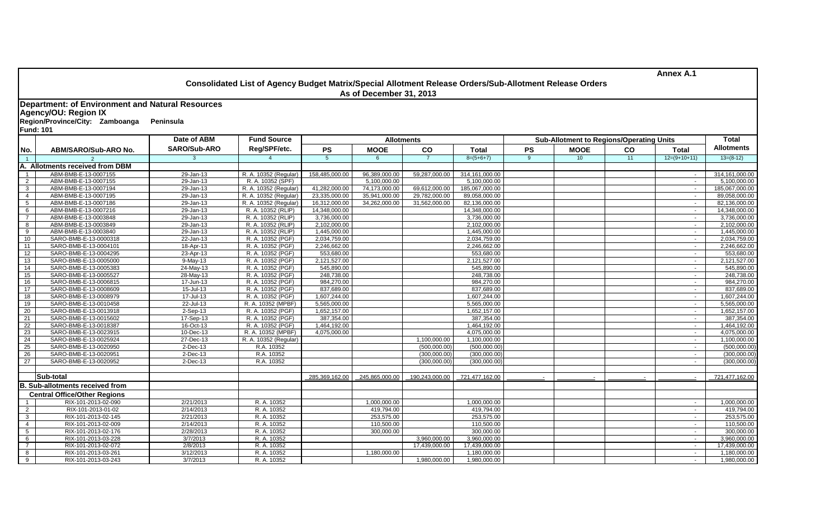|                 |                                                                                                                                                            |                     | Consolidated List of Agency Budget Matrix/Special Allotment Release Orders/Sub-Allotment Release Orders<br>As of December 31, 2013 |                   |                |                | <b>Annex A.1</b> |                                                 |                 |    |                |                   |  |
|-----------------|------------------------------------------------------------------------------------------------------------------------------------------------------------|---------------------|------------------------------------------------------------------------------------------------------------------------------------|-------------------|----------------|----------------|------------------|-------------------------------------------------|-----------------|----|----------------|-------------------|--|
|                 | <b>Department: of Environment and Natural Resources</b><br><b>Agency/OU: Region IX</b><br>Region/Province/City: Zamboanga<br>Peninsula<br><b>Fund: 101</b> |                     |                                                                                                                                    |                   |                |                |                  |                                                 |                 |    |                |                   |  |
|                 |                                                                                                                                                            | Date of ABM         | <b>Fund Source</b>                                                                                                                 | <b>Allotments</b> |                |                |                  | <b>Sub-Allotment to Regions/Operating Units</b> |                 |    |                | <b>Total</b>      |  |
| No.             | ABM/SARO/Sub-ARO No.                                                                                                                                       | <b>SARO/Sub-ARO</b> | Reg/SPF/etc.                                                                                                                       | <b>PS</b>         | <b>MOOE</b>    | co             | <b>Total</b>     | <b>PS</b>                                       | <b>MOOE</b>     | co | Total          | <b>Allotments</b> |  |
| $\overline{1}$  |                                                                                                                                                            | $\mathcal{R}$       | $\overline{4}$                                                                                                                     | 5 <sup>5</sup>    | 6              | $\overline{7}$ | $8=(5+6+7)$      | $\mathbf{q}$                                    | 10 <sup>°</sup> | 11 | $12=(9+10+11)$ | $13=(8-12)$       |  |
|                 | A. Allotments received from DBM                                                                                                                            |                     |                                                                                                                                    |                   |                |                |                  |                                                 |                 |    |                |                   |  |
| $\overline{1}$  | ABM-BMB-E-13-0007155                                                                                                                                       | 29-Jan-13           | R. A. 10352 (Regular)                                                                                                              | 158,485,000.00    | 96,389,000.00  | 59,287,000.00  | 314,161,000.00   |                                                 |                 |    |                | 314,161,000.00    |  |
| 2               | ABM-BMB-E-13-0007155                                                                                                                                       | 29-Jan-13           | R. A. 10352 (SPF)                                                                                                                  |                   | 5,100,000.00   |                | 5,100,000.00     |                                                 |                 |    | $\sim$         | 5,100,000.00      |  |
| $\mathbf{3}$    | ABM-BMB-E-13-0007194                                                                                                                                       | 29-Jan-13           | R. A. 10352 (Regular)                                                                                                              | 41,282,000.00     | 74,173,000.00  | 69,612,000.00  | 185,067,000.00   |                                                 |                 |    | $\sim$         | 185,067,000.00    |  |
| $\overline{4}$  | ABM-BMB-E-13-0007195                                                                                                                                       | 29-Jan-13           | R. A. 10352 (Regular)                                                                                                              | 23,335,000.00     | 35,941,000.00  | 29,782,000.00  | 89,058,000.00    |                                                 |                 |    | $\sim$         | 89,058,000.00     |  |
| 5 <sup>5</sup>  | ABM-BMB-E-13-0007186                                                                                                                                       | 29-Jan-13           | R. A. 10352 (Regular)                                                                                                              | 16,312,000.00     | 34,262,000.00  | 31,562,000.00  | 82,136,000.00    |                                                 |                 |    | $\sim$         | 82,136,000.00     |  |
| 6               | ABM-BMB-E-13-0007216                                                                                                                                       | $29$ -Jan-13        | R. A. 10352 (RLIP)                                                                                                                 | 14,348,000.00     |                |                | 14,348,000.00    |                                                 |                 |    | $\sim$         | 14,348,000.00     |  |
| $\overline{7}$  | ABM-BMB-E-13-0003848                                                                                                                                       | 29-Jan-13           | R. A. 10352 (RLIP)                                                                                                                 | 3,736,000.00      |                |                | 3,736,000.00     |                                                 |                 |    | $\sim$         | 3,736,000.00      |  |
| 8               | ABM-BMB-E-13-0003849                                                                                                                                       | 29-Jan-13           | R. A. 10352 (RLIP)                                                                                                                 | 2,102,000.00      |                |                | 2,102,000.00     |                                                 |                 |    | $\blacksquare$ | 2,102,000.00      |  |
| 9               | ABM-BMB-E-13-0003840                                                                                                                                       | 29-Jan-13           | R. A. 10352 (RLIP)                                                                                                                 | 1,445,000.00      |                |                | 1,445,000.00     |                                                 |                 |    | $\mathbf{r}$   | 1,445,000.00      |  |
| 10              | SARO-BMB-E-13-0000318                                                                                                                                      | 22-Jan-13           | R. A. 10352 (PGF)                                                                                                                  | 2,034,759.00      |                |                | 2,034,759.00     |                                                 |                 |    | $\sim$         | 2,034,759.00      |  |
| 11              | SARO-BMB-E-13-0004101                                                                                                                                      | 18-Apr-13           | R. A. 10352 (PGF)                                                                                                                  | 2,246,662.00      |                |                | 2,246,662.00     |                                                 |                 |    | $\sim$         | 2,246,662.00      |  |
| 12              | SARO-BMB-E-13-0004295                                                                                                                                      | 23-Apr-13           | R. A. 10352 (PGF)                                                                                                                  | 553,680.00        |                |                | 553,680.00       |                                                 |                 |    | $\blacksquare$ | 553,680.00        |  |
| 13              | SARO-BMB-E-13-0005000                                                                                                                                      | 9-May-13            | R. A. 10352 (PGF)                                                                                                                  | 2,121,527.00      |                |                | 2,121,527.00     |                                                 |                 |    | $\sim$         | 2,121,527.00      |  |
| 14              | SARO-BMB-E-13-0005383                                                                                                                                      | 24-May-13           | R. A. 10352 (PGF)                                                                                                                  | 545,890.00        |                |                | 545,890.00       |                                                 |                 |    | $\sim$         | 545,890.00        |  |
| 15              | SARO-BMB-E-13-0005527                                                                                                                                      | 28-May-13           | R. A. 10352 (PGF)                                                                                                                  | 248,738.00        |                |                | 248,738.00       |                                                 |                 |    | $\sim$         | 248,738.00        |  |
| 16              | SARO-BMB-E-13-0006815                                                                                                                                      | 17-Jun-13           | R. A. 10352 (PGF)                                                                                                                  | 984,270.00        |                |                | 984,270.00       |                                                 |                 |    | $\sim$         | 984,270.00        |  |
| 17              | SARO-BMB-E-13-0008609                                                                                                                                      | 15-Jul-13           | R. A. 10352 (PGF)                                                                                                                  | 837,689.00        |                |                | 837,689.00       |                                                 |                 |    | $\mathbf{r}$   | 837,689.00        |  |
| 18              | SARO-BMB-E-13-0008979                                                                                                                                      | 17-Jul-13           | R. A. 10352 (PGF)                                                                                                                  | 1,607,244.00      |                |                | 1,607,244.00     |                                                 |                 |    | $\sim$         | 1,607,244.00      |  |
| 19              | SARO-BMB-E-13-0010458                                                                                                                                      | 22-Jul-13           | R. A. 10352 (MPBF)                                                                                                                 | 5,565,000.00      |                |                | 5,565,000.00     |                                                 |                 |    | $\sim$         | 5,565,000.00      |  |
| 20              | SARO-BMB-E-13-0013918                                                                                                                                      | $2-Sep-13$          | R. A. 10352 (PGF)                                                                                                                  | 1,652,157.00      |                |                | 1,652,157.00     |                                                 |                 |    | $\sim$         | 1,652,157.00      |  |
| 21              | SARO-BMB-E-13-0015602                                                                                                                                      | 17-Sep-13           | R. A. 10352 (PGF)                                                                                                                  | 387,354.00        |                |                | 387,354.00       |                                                 |                 |    | $\sim$         | 387,354.00        |  |
| 22              | SARO-BMB-E-13-0018387                                                                                                                                      | 16-Oct-13           | R. A. 10352 (PGF)                                                                                                                  | 1,464,192.00      |                |                | 1,464,192.00     |                                                 |                 |    | $\sim$         | 1,464,192.00      |  |
| 23              | SARO-BMB-E-13-0023915                                                                                                                                      | 10-Dec-13           | R. A. 10352 (MPBF)                                                                                                                 | 4,075,000.00      |                |                | 4,075,000.00     |                                                 |                 |    | $\sim$         | 4,075,000.00      |  |
| 24              | SARO-BMB-E-13-0025924                                                                                                                                      | 27-Dec-13           | R. A. 10352 (Regular)                                                                                                              |                   |                | 1,100,000.00   | 1,100,000.00     |                                                 |                 |    | $\sim$         | 1,100,000.00      |  |
| 25              | SARO-BMB-E-13-0020950                                                                                                                                      | 2-Dec-13            | R.A. 10352                                                                                                                         |                   |                | (500,000.00)   | (500,000.00)     |                                                 |                 |    | $\sim$         | (500,000.00)      |  |
| 26              | SARO-BMB-E-13-0020951                                                                                                                                      | 2-Dec-13            | R.A. 10352                                                                                                                         |                   |                | (300,000.00)   | (300,000.00)     |                                                 |                 |    | $\sim$         | (300,000.00)      |  |
| 27              | SARO-BMB-E-13-0020952                                                                                                                                      | 2-Dec-13            | R.A. 10352                                                                                                                         |                   |                | (300,000.00)   | (300,000.00)     |                                                 |                 |    | $\sim$         | (300,000.00)      |  |
|                 |                                                                                                                                                            |                     |                                                                                                                                    |                   |                |                |                  |                                                 |                 |    |                |                   |  |
|                 | Sub-total                                                                                                                                                  |                     |                                                                                                                                    | 285,369,162.00    | 245,865,000.00 | 190,243,000.00 | 721,477,162.00   |                                                 |                 |    |                | 721,477,162.00    |  |
|                 | <b>B. Sub-allotments received from</b>                                                                                                                     |                     |                                                                                                                                    |                   |                |                |                  |                                                 |                 |    |                |                   |  |
|                 | <b>Central Office/Other Regions</b>                                                                                                                        |                     |                                                                                                                                    |                   |                |                |                  |                                                 |                 |    |                |                   |  |
| $\sim$          | RIX-101-2013-02-090                                                                                                                                        | 2/21/2013           | R. A. 10352                                                                                                                        |                   | 1,000,000.00   |                | 1,000,000.00     |                                                 |                 |    | $\sim$         | 1,000,000.00      |  |
| $\overline{2}$  | RIX-101-2013-01-02                                                                                                                                         | 2/14/2013           | R. A. 10352                                                                                                                        |                   | 419,794.00     |                | 419,794.00       |                                                 |                 |    | $\sim$         | 419,794.00        |  |
| $\mathbf{3}$    | RIX-101-2013-02-145                                                                                                                                        | 2/21/2013           | R. A. 10352                                                                                                                        |                   | 253,575.00     |                | 253,575.00       |                                                 |                 |    | $\sim$         | 253,575.00        |  |
| $\overline{4}$  | RIX-101-2013-02-009                                                                                                                                        | 2/14/2013           | R. A. 10352                                                                                                                        |                   | 110,500.00     |                | 110,500.00       |                                                 |                 |    | $\sim$         | 110,500.00        |  |
| $5\overline{5}$ | RIX-101-2013-02-176                                                                                                                                        | 2/28/2013           | R. A. 10352                                                                                                                        |                   | 300,000.00     |                | 300,000.00       |                                                 |                 |    | $\sim$         | 300,000.00        |  |
| $6\overline{}$  | RIX-101-2013-03-228                                                                                                                                        | 3/7/2013            | R. A. 10352                                                                                                                        |                   |                | 3,960,000.00   | 3,960,000.00     |                                                 |                 |    | $\sim$         | 3,960,000.00      |  |
| $\overline{7}$  | RIX-101-2013-02-072                                                                                                                                        | 2/8/2013            | R. A. 10352                                                                                                                        |                   |                | 17,439,000.00  | 17,439,000.00    |                                                 |                 |    | $\sim$         | 17,439,000.00     |  |
| 8               | RIX-101-2013-03-261                                                                                                                                        | 3/12/2013           | R. A. 10352                                                                                                                        |                   | 1.180.000.00   |                | 1.180.000.00     |                                                 |                 |    |                | 1,180,000.00      |  |
| 9               | RIX-101-2013-03-243                                                                                                                                        | 3/7/2013            | R. A. 10352                                                                                                                        |                   |                | 1,980,000.00   | 1,980,000.00     |                                                 |                 |    |                | 1,980,000.00      |  |